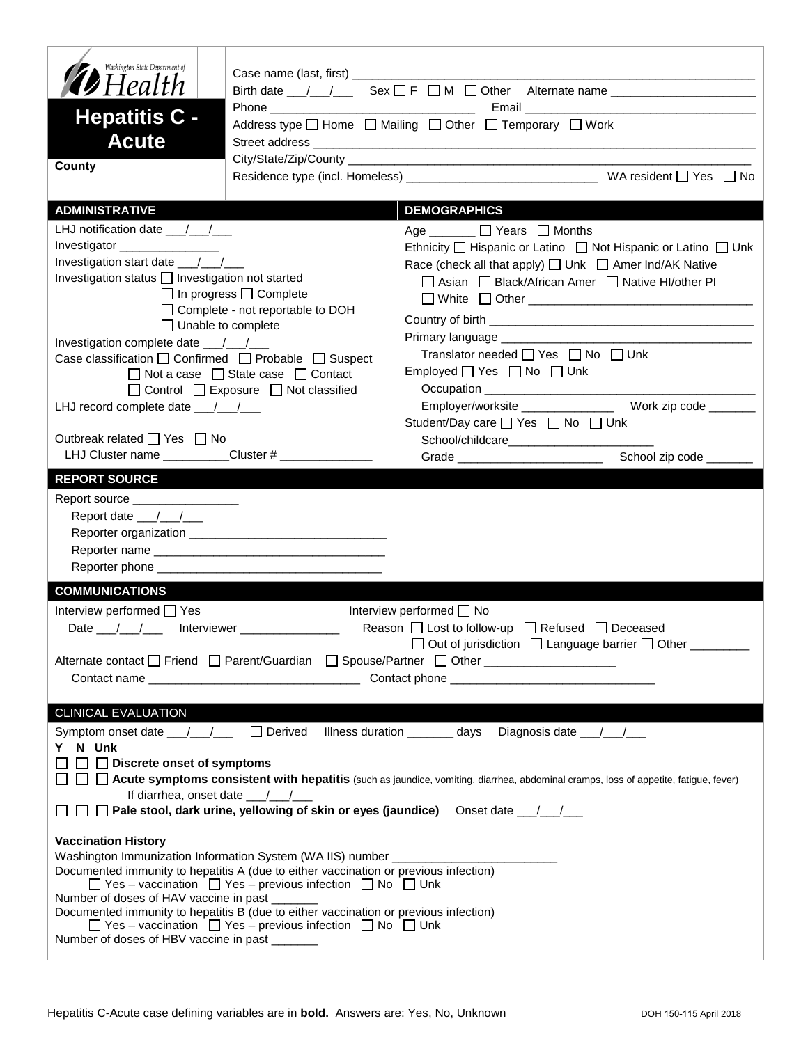| Washington State Department of<br><b>D</b> Health<br><b>Hepatitis C -</b><br><b>Acute</b><br>County                                                                                                                                                                        | Case name (last, first) _____________                                                                                                                                                                                                                                                                                                                                                                                     | Address type $\Box$ Home $\Box$ Mailing $\Box$ Other $\Box$ Temporary $\Box$ Work                                                                                                                                                                                                                                                                                                                                                                               |
|----------------------------------------------------------------------------------------------------------------------------------------------------------------------------------------------------------------------------------------------------------------------------|---------------------------------------------------------------------------------------------------------------------------------------------------------------------------------------------------------------------------------------------------------------------------------------------------------------------------------------------------------------------------------------------------------------------------|-----------------------------------------------------------------------------------------------------------------------------------------------------------------------------------------------------------------------------------------------------------------------------------------------------------------------------------------------------------------------------------------------------------------------------------------------------------------|
|                                                                                                                                                                                                                                                                            |                                                                                                                                                                                                                                                                                                                                                                                                                           |                                                                                                                                                                                                                                                                                                                                                                                                                                                                 |
| <b>ADMINISTRATIVE</b>                                                                                                                                                                                                                                                      |                                                                                                                                                                                                                                                                                                                                                                                                                           | <b>DEMOGRAPHICS</b>                                                                                                                                                                                                                                                                                                                                                                                                                                             |
| LHJ notification date $\frac{1}{2}$<br>Investigator<br>Investigation status   Investigation not started<br>$\Box$ Unable to complete<br>Case classification □ Confirmed □ Probable □ Suspect<br>LHJ record complete date __/_/__/<br>Outbreak related $\Box$ Yes $\Box$ No | $\Box$ In progress $\Box$ Complete<br>□ Complete - not reportable to DOH<br>$\Box$ Not a case $\Box$ State case $\Box$ Contact<br>$\Box$ Control $\Box$ Exposure $\Box$ Not classified                                                                                                                                                                                                                                    | Age $\Box$ $\Box$ Years $\Box$ Months<br>Ethnicity □ Hispanic or Latino □ Not Hispanic or Latino □ Unk<br>Race (check all that apply) [ Unk   Amer Ind/AK Native<br>□ Asian □ Black/African Amer □ Native HI/other PI<br>Translator needed $\Box$ Yes $\Box$ No $\Box$ Unk<br>Employed $\Box$ Yes $\Box$ No $\Box$ Unk<br>Employer/worksite ________________ Work zip code _______<br>Student/Day care □ Yes □ No □ Unk<br>School/childcare____________________ |
| LHJ Cluster name ___________Cluster # _______________                                                                                                                                                                                                                      |                                                                                                                                                                                                                                                                                                                                                                                                                           | School zip code _______                                                                                                                                                                                                                                                                                                                                                                                                                                         |
| <b>REPORT SOURCE</b><br>Report source __________________<br>Report date __/__/__<br><b>COMMUNICATIONS</b><br>Interview performed □ Yes<br>Date / / / merviewer / 11<br><b>CLINICAL EVALUATION</b>                                                                          |                                                                                                                                                                                                                                                                                                                                                                                                                           | Interview performed <sup>1</sup> No<br>Reason □ Lost to follow-up □ Refused □ Deceased<br>□ Out of jurisdiction □ Language barrier □ Other _______<br>Alternate contact □ Friend □ Parent/Guardian □ Spouse/Partner □ Other _________________                                                                                                                                                                                                                   |
| Y N Unk<br>$\Box$ Discrete onset of symptoms<br>If diarrhea, onset date $\frac{1}{2}$                                                                                                                                                                                      |                                                                                                                                                                                                                                                                                                                                                                                                                           | Symptom onset date __/__/____ □ Derived Illness duration _______ days Diagnosis date __/__/__<br><b>Acute symptoms consistent with hepatitis</b> (such as jaundice, vomiting, diarrhea, abdominal cramps, loss of appetite, fatigue, fever)                                                                                                                                                                                                                     |
| <b>Vaccination History</b><br>Number of doses of HAV vaccine in past<br>Number of doses of HBV vaccine in past                                                                                                                                                             | Washington Immunization Information System (WA IIS) number ____________<br>Documented immunity to hepatitis A (due to either vaccination or previous infection)<br>$\Box$ Yes – vaccination $\Box$ Yes – previous infection $\Box$ No $\Box$ Unk<br>Documented immunity to hepatitis B (due to either vaccination or previous infection)<br>$\Box$ Yes – vaccination $\Box$ Yes – previous infection $\Box$ No $\Box$ Unk |                                                                                                                                                                                                                                                                                                                                                                                                                                                                 |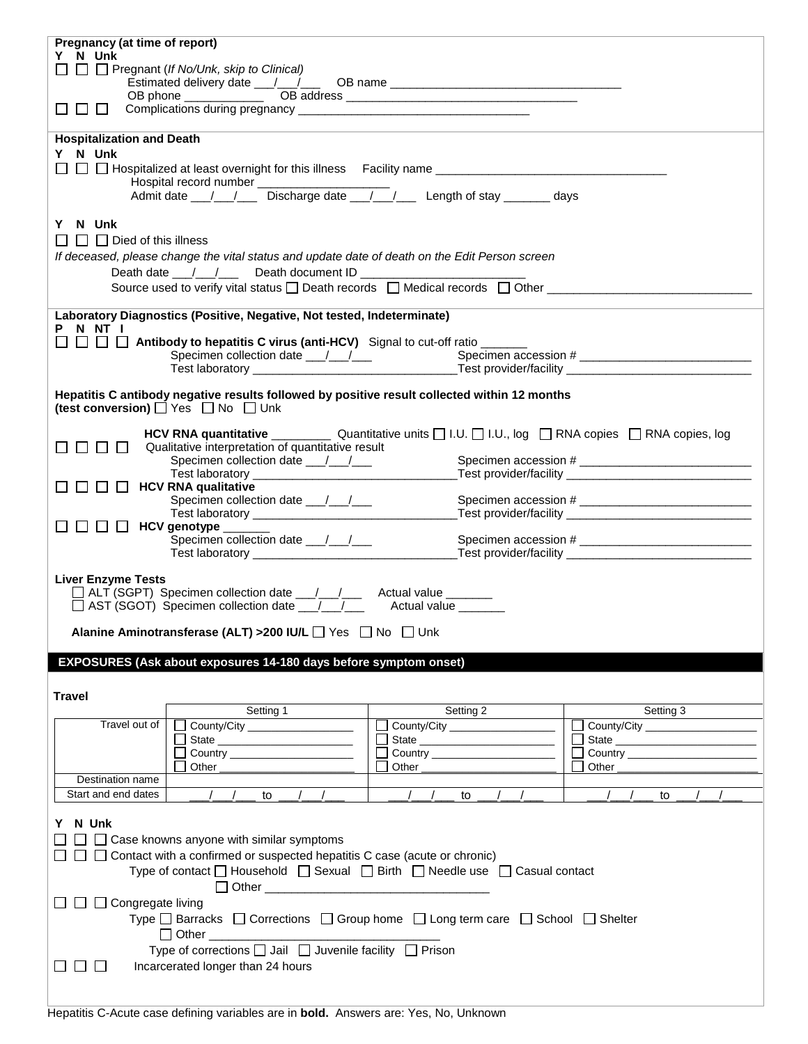| Pregnancy (at time of report)                                                                                                               |                     |                                        |  |  |
|---------------------------------------------------------------------------------------------------------------------------------------------|---------------------|----------------------------------------|--|--|
| Y N Unk                                                                                                                                     |                     |                                        |  |  |
| $\Box$ $\Box$ Pregnant (If No/Unk, skip to Clinical)                                                                                        |                     |                                        |  |  |
|                                                                                                                                             |                     |                                        |  |  |
| $\perp$                                                                                                                                     |                     |                                        |  |  |
|                                                                                                                                             |                     |                                        |  |  |
|                                                                                                                                             |                     |                                        |  |  |
| <b>Hospitalization and Death</b>                                                                                                            |                     |                                        |  |  |
| Y N Unk                                                                                                                                     |                     |                                        |  |  |
|                                                                                                                                             |                     |                                        |  |  |
| Hospital record number ______________<br>Admit date __/__/____ Discharge date __/__/____ Length of stay _______ days                        |                     |                                        |  |  |
|                                                                                                                                             |                     |                                        |  |  |
| Y N Unk                                                                                                                                     |                     |                                        |  |  |
|                                                                                                                                             |                     |                                        |  |  |
| $\Box$ $\Box$ Died of this illness                                                                                                          |                     |                                        |  |  |
| If deceased, please change the vital status and update date of death on the Edit Person screen                                              |                     |                                        |  |  |
| Death date __/__/___ Death document ID ________________                                                                                     |                     |                                        |  |  |
| Source used to verify vital status $\Box$ Death records $\Box$ Medical records $\Box$ Other                                                 |                     |                                        |  |  |
|                                                                                                                                             |                     |                                        |  |  |
| Laboratory Diagnostics (Positive, Negative, Not tested, Indeterminate)                                                                      |                     |                                        |  |  |
| P N NT I                                                                                                                                    |                     |                                        |  |  |
| $\square \ \square \ \square \ \square$ Antibody to hepatitis C virus (anti-HCV) Signal to cut-off ratio ______                             |                     |                                        |  |  |
|                                                                                                                                             |                     |                                        |  |  |
|                                                                                                                                             |                     |                                        |  |  |
| Hepatitis C antibody negative results followed by positive result collected within 12 months                                                |                     |                                        |  |  |
| (test conversion) D Yes D No D Unk                                                                                                          |                     |                                        |  |  |
|                                                                                                                                             |                     |                                        |  |  |
|                                                                                                                                             |                     |                                        |  |  |
| Qualitative interpretation of quantitative result<br>$\mathbf{I}$                                                                           |                     |                                        |  |  |
|                                                                                                                                             |                     |                                        |  |  |
|                                                                                                                                             |                     |                                        |  |  |
| $\Box$ $\Box$<br>$\Box$ HCV RNA qualitative                                                                                                 |                     |                                        |  |  |
|                                                                                                                                             |                     |                                        |  |  |
|                                                                                                                                             |                     |                                        |  |  |
| $\Box$ HCV genotype $\_\_\_\_\_\_\_\_\_\_\_\$<br><b>The Common</b><br>Specimen collection date ___/__/___                                   |                     |                                        |  |  |
|                                                                                                                                             |                     |                                        |  |  |
|                                                                                                                                             |                     |                                        |  |  |
| <b>Liver Enzyme Tests</b>                                                                                                                   |                     |                                        |  |  |
|                                                                                                                                             |                     |                                        |  |  |
| □ ALT (SGPT) Specimen collection date __/__/___ Actual value _______<br>□ AST (SGOT) Specimen collection date __/__/___ Actual value ______ |                     |                                        |  |  |
|                                                                                                                                             |                     |                                        |  |  |
| Alanine Aminotransferase (ALT) >200 IU/L Ves No No Unk                                                                                      |                     |                                        |  |  |
|                                                                                                                                             |                     |                                        |  |  |
| EXPOSURES (Ask about exposures 14-180 days before symptom onset)                                                                            |                     |                                        |  |  |
|                                                                                                                                             |                     |                                        |  |  |
| <b>Travel</b>                                                                                                                               |                     |                                        |  |  |
| Setting 1                                                                                                                                   | Setting 2           | Setting 3                              |  |  |
| Travel out of<br>County/City _________________                                                                                              | County/City         | County/City                            |  |  |
|                                                                                                                                             | State               |                                        |  |  |
|                                                                                                                                             |                     | П<br>Country _________________________ |  |  |
| Other                                                                                                                                       |                     |                                        |  |  |
| Destination name                                                                                                                            |                     |                                        |  |  |
| Start and end dates<br>$\frac{1}{2}$<br>to                                                                                                  | $\frac{1}{2}$<br>to | to                                     |  |  |
|                                                                                                                                             |                     |                                        |  |  |
| N Unk                                                                                                                                       |                     |                                        |  |  |
| $\Box$ Case knowns anyone with similar symptoms                                                                                             |                     |                                        |  |  |
| Contact with a confirmed or suspected hepatitis C case (acute or chronic)                                                                   |                     |                                        |  |  |
| Type of contact $\Box$ Household $\Box$ Sexual $\Box$ Birth $\Box$ Needle use $\Box$ Casual contact                                         |                     |                                        |  |  |
|                                                                                                                                             |                     |                                        |  |  |
|                                                                                                                                             |                     |                                        |  |  |
| $\Box$ $\Box$ Congregate living                                                                                                             |                     |                                        |  |  |
| Type $\Box$ Barracks $\Box$ Corrections $\Box$ Group home $\Box$ Long term care $\Box$ School $\Box$ Shelter                                |                     |                                        |  |  |
| $\Box$ Other                                                                                                                                |                     |                                        |  |  |
| Type of corrections □ Jail □ Juvenile facility □ Prison                                                                                     |                     |                                        |  |  |
| Incarcerated longer than 24 hours<br>$\perp$                                                                                                |                     |                                        |  |  |
|                                                                                                                                             |                     |                                        |  |  |
|                                                                                                                                             |                     |                                        |  |  |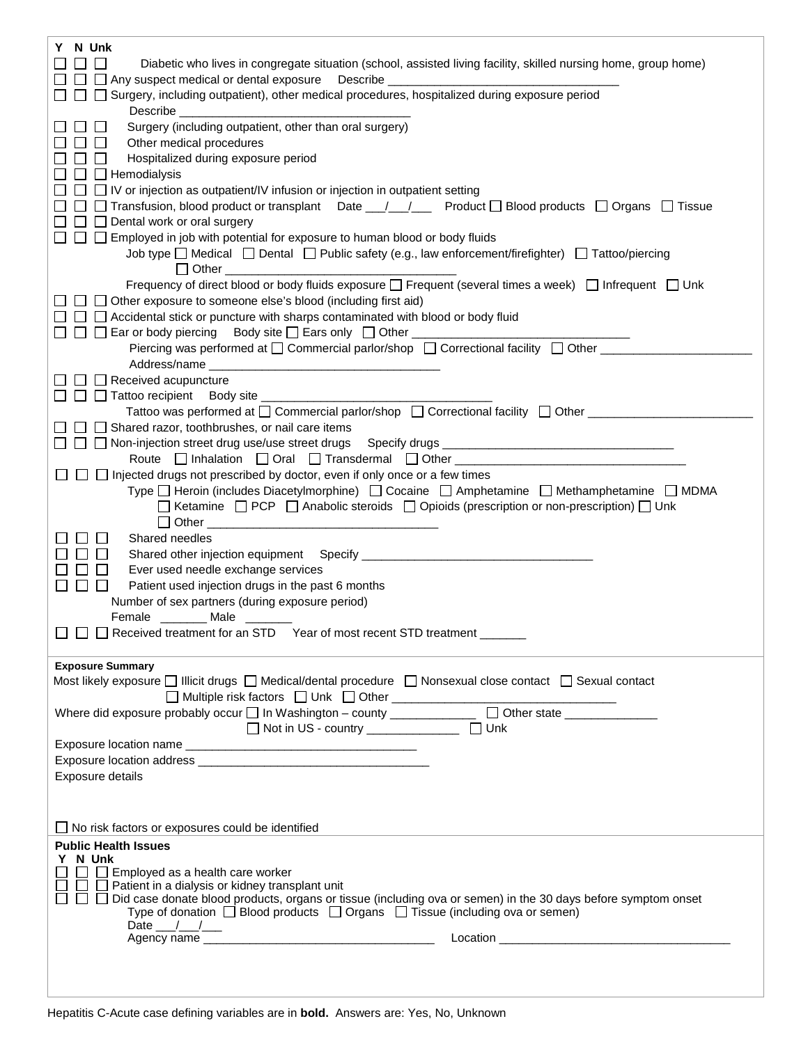| N Unk                                                                                                                                                                                                                                |
|--------------------------------------------------------------------------------------------------------------------------------------------------------------------------------------------------------------------------------------|
| Diabetic who lives in congregate situation (school, assisted living facility, skilled nursing home, group home)                                                                                                                      |
| □ □ Any suspect medical or dental exposure Describe ______<br>ΙI                                                                                                                                                                     |
| □ □ Surgery, including outpatient), other medical procedures, hospitalized during exposure period                                                                                                                                    |
| Describe <u>superiors</u>                                                                                                                                                                                                            |
| Surgery (including outpatient, other than oral surgery)<br>$\perp$                                                                                                                                                                   |
| $\Box$<br>Other medical procedures                                                                                                                                                                                                   |
| Hospitalized during exposure period<br>$\perp$                                                                                                                                                                                       |
| $\Box$ Hemodialysis                                                                                                                                                                                                                  |
| $\Box$ IV or injection as outpatient/IV infusion or injection in outpatient setting                                                                                                                                                  |
| □ □ Transfusion, blood product or transplant Date __/__/___ Product □ Blood products □ Organs □ Tissue                                                                                                                               |
| $\Box$ Dental work or oral surgery<br>$\perp$                                                                                                                                                                                        |
| □ □ □ Employed in job with potential for exposure to human blood or body fluids                                                                                                                                                      |
| Job type $\Box$ Medical $\Box$ Dental $\Box$ Public safety (e.g., law enforcement/firefighter) $\Box$ Tattoo/piercing                                                                                                                |
|                                                                                                                                                                                                                                      |
| Frequency of direct blood or body fluids exposure □ Frequent (several times a week) □ Infrequent □ Unk                                                                                                                               |
| $\Box$ Other exposure to someone else's blood (including first aid)                                                                                                                                                                  |
| $\Box$ $\Box$ Accidental stick or puncture with sharps contaminated with blood or body fluid                                                                                                                                         |
| □ □ □ Ear or body piercing Body site □ Ears only □ Other ______________<br>Piercing was performed at □ Commercial parlor/shop □ Correctional facility □ Other ________                                                               |
|                                                                                                                                                                                                                                      |
| Address/name                                                                                                                                                                                                                         |
| $\Box$ Received acupuncture<br>$\Box$ $\Box$ Tattoo recipient Body site                                                                                                                                                              |
| Tattoo was performed at □ Commercial parlor/shop □ Correctional facility □ Other _________                                                                                                                                           |
| $\Box$ Shared razor, toothbrushes, or nail care items                                                                                                                                                                                |
| □ □ 回 Non-injection street drug use/use street drugs Specify drugs ________________________________                                                                                                                                  |
| Route   Inhalation   Oral   Transdermal   Other   Communication   Communication   Oral   Transdermal   Other                                                                                                                         |
| $\Box$ $\Box$ Injected drugs not prescribed by doctor, even if only once or a few times                                                                                                                                              |
| Type □ Heroin (includes Diacetylmorphine) □ Cocaine □ Amphetamine □ Methamphetamine □ MDMA                                                                                                                                           |
| □ Ketamine □ PCP □ Anabolic steroids □ Opioids (prescription or non-prescription) □ Unk                                                                                                                                              |
| Dether <u>2000 magazine and the set of the set of the set of the set of the set of the set of the set of the set of the set of the set of the set of the set of the set of the set of the set of the set of the set of the set o</u> |
| Shared needles                                                                                                                                                                                                                       |
|                                                                                                                                                                                                                                      |
| Ever used needle exchange services<br>$\perp$                                                                                                                                                                                        |
| $\Box$ $\Box$<br>Patient used injection drugs in the past 6 months                                                                                                                                                                   |
| Number of sex partners (during exposure period)                                                                                                                                                                                      |
| Female ________ Male _______                                                                                                                                                                                                         |
| □ □ □ Received treatment for an STD Year of most recent STD treatment ______                                                                                                                                                         |
|                                                                                                                                                                                                                                      |
| <b>Exposure Summary</b>                                                                                                                                                                                                              |
| Most likely exposure $\Box$ Illicit drugs $\Box$ Medical/dental procedure $\Box$ Nonsexual close contact $\Box$ Sexual contact                                                                                                       |
|                                                                                                                                                                                                                                      |
|                                                                                                                                                                                                                                      |
|                                                                                                                                                                                                                                      |
|                                                                                                                                                                                                                                      |
|                                                                                                                                                                                                                                      |
| Exposure details                                                                                                                                                                                                                     |
|                                                                                                                                                                                                                                      |
|                                                                                                                                                                                                                                      |
| $\Box$ No risk factors or exposures could be identified                                                                                                                                                                              |
| <b>Public Health Issues</b>                                                                                                                                                                                                          |
| Y N Unk<br>$\Box$ Employed as a health care worker                                                                                                                                                                                   |
| $\Box$ Patient in a dialysis or kidney transplant unit                                                                                                                                                                               |
| □ Did case donate blood products, organs or tissue (including ova or semen) in the 30 days before symptom onset<br>$\Box$                                                                                                            |
| Type of donation $\Box$ Blood products $\Box$ Organs $\Box$ Tissue (including ova or semen)                                                                                                                                          |
| Date $\frac{1}{\sqrt{2}}$                                                                                                                                                                                                            |
|                                                                                                                                                                                                                                      |
|                                                                                                                                                                                                                                      |
|                                                                                                                                                                                                                                      |